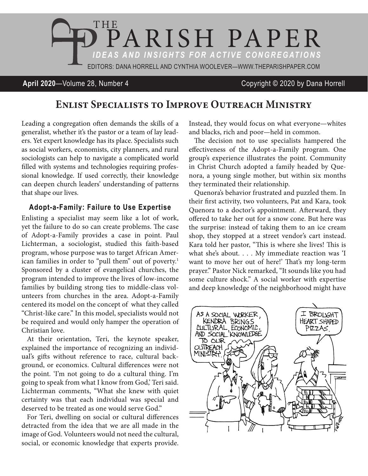

### **April 2020**—Volume 28, Number 4 Copyright © 2020 by Dana Horrell

# **Enlist Specialists to Improve Outreach Ministry**

Leading a congregation often demands the skills of a generalist, whether it's the pastor or a team of lay leaders. Yet expert knowledge has its place. Specialists such as social workers, economists, city planners, and rural sociologists can help to navigate a complicated world filled with systems and technologies requiring professional knowledge. If used correctly, their knowledge can deepen church leaders' understanding of patterns that shape our lives.

#### **Adopt-a-Family: Failure to Use Expertise**

Enlisting a specialist may seem like a lot of work, yet the failure to do so can create problems. The case of Adopt-a-Family provides a case in point. Paul Lichterman, a sociologist, studied this faith-based program, whose purpose was to target African American families in order to "pull them" out of poverty.<sup>1</sup> Sponsored by a cluster of evangelical churches, the program intended to improve the lives of low-income families by building strong ties to middle-class volunteers from churches in the area. Adopt-a-Family centered its model on the concept of what they called "Christ-like care." In this model, specialists would not be required and would only hamper the operation of Christian love.

At their orientation, Teri, the keynote speaker, explained the importance of recognizing an individual's gifts without reference to race, cultural background, or economics. Cultural differences were not the point. 'I'm not going to do a cultural thing. I'm going to speak from what I know from God,' Teri said. Lichterman comments, "What she knew with quiet certainty was that each individual was special and deserved to be treated as one would serve God."

For Teri, dwelling on social or cultural differences detracted from the idea that we are all made in the image of God. Volunteers would not need the cultural, social, or economic knowledge that experts provide.

Instead, they would focus on what everyone—whites and blacks, rich and poor—held in common.

The decision not to use specialists hampered the effectiveness of the Adopt-a-Family program. One group's experience illustrates the point. Community in Christ Church adopted a family headed by Quenora, a young single mother, but within six months they terminated their relationship.

Quenora's behavior frustrated and puzzled them. In their first activity, two volunteers, Pat and Kara, took Quenora to a doctor's appointment. Afterward, they offered to take her out for a snow cone. But here was the surprise: instead of taking them to an ice cream shop, they stopped at a street vendor's cart instead. Kara told her pastor, "This is where she lives! This is what she's about. . . . My immediate reaction was 'I want to move her out of here!' That's my long-term prayer." Pastor Nick remarked, "It sounds like you had some culture shock." A social worker with expertise and deep knowledge of the neighborhood might have